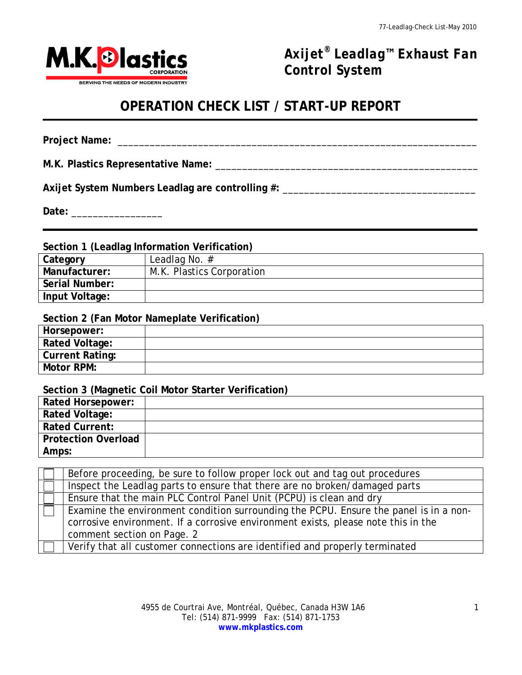

*Axijet® Leadlag™ Exhaust Fan Control System*

# **OPERATION CHECK LIST / START-UP REPORT**

**Project Name:** \_\_\_\_\_\_\_\_\_\_\_\_\_\_\_\_\_\_\_\_\_\_\_\_\_\_\_\_\_\_\_\_\_\_\_\_\_\_\_\_\_\_\_\_\_\_\_\_\_\_\_\_\_\_\_\_\_\_\_\_\_\_\_\_\_\_\_

1

**M.K. Plastics Representative Name:** \_\_\_\_\_\_\_\_\_\_\_\_\_\_\_\_\_\_\_\_\_\_\_\_\_\_\_\_\_\_\_\_\_\_\_\_\_\_\_\_\_\_\_\_\_\_\_\_\_

**Axijet System Numbers Leadlag are controlling #:** \_\_\_\_\_\_\_\_\_\_\_\_\_\_\_\_\_\_\_\_\_\_\_\_\_\_\_\_\_\_\_\_\_\_\_\_

**Date:** \_\_\_\_\_\_\_\_\_\_\_\_\_\_\_\_\_

**Section 1 (Leadlag Information Verification)**

| Category       | Leadlag No. $#$           |
|----------------|---------------------------|
| Manufacturer:  | M.K. Plastics Corporation |
| Serial Number: |                           |
| Input Voltage: |                           |

**Section 2 (Fan Motor Nameplate Verification)**

| Horsepower:            |  |
|------------------------|--|
| <b>Rated Voltage:</b>  |  |
| <b>Current Rating:</b> |  |
| Motor RPM:             |  |

**Section 3 (Magnetic Coil Motor Starter Verification)**

| <b>Rated Horsepower:</b>   |  |
|----------------------------|--|
| <b>Rated Voltage:</b>      |  |
| <b>Rated Current:</b>      |  |
| <b>Protection Overload</b> |  |
| Amps:                      |  |

| Before proceeding, be sure to follow proper lock out and tag out procedures           |
|---------------------------------------------------------------------------------------|
| Inspect the Leadlag parts to ensure that there are no broken/damaged parts            |
| Ensure that the main PLC Control Panel Unit (PCPU) is clean and dry                   |
| Examine the environment condition surrounding the PCPU. Ensure the panel is in a non- |
| corrosive environment. If a corrosive environment exists, please note this in the     |
| comment section on Page. 2                                                            |
| Verify that all customer connections are identified and properly terminated           |
|                                                                                       |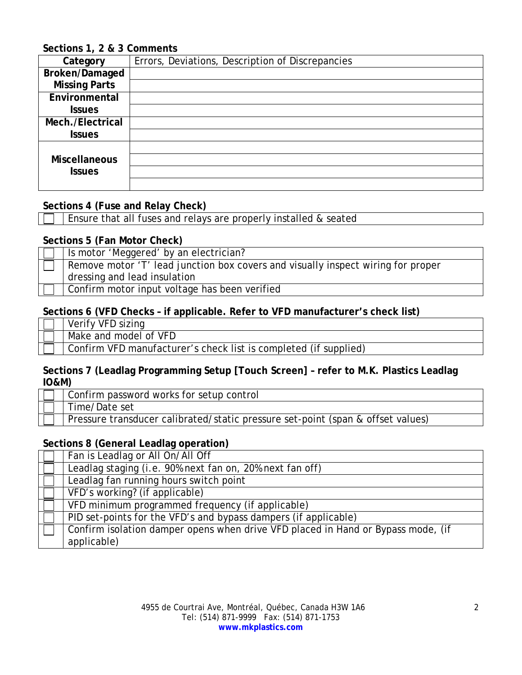# **Sections 1, 2 & 3 Comments**

| Category             | Errors, Deviations, Description of Discrepancies |
|----------------------|--------------------------------------------------|
| Broken/Damaged       |                                                  |
| <b>Missing Parts</b> |                                                  |
| Environmental        |                                                  |
| <b>Issues</b>        |                                                  |
| Mech./Electrical     |                                                  |
| <b>Issues</b>        |                                                  |
|                      |                                                  |
| <b>Miscellaneous</b> |                                                  |
| <b>Issues</b>        |                                                  |
|                      |                                                  |

### **Sections 4 (Fuse and Relay Check)**

Ensure that all fuses and relays are properly installed & seated

#### **Sections 5 (Fan Motor Check)**

| Is motor 'Meggered' by an electrician?                                           |  |
|----------------------------------------------------------------------------------|--|
| Remove motor 'T' lead junction box covers and visually inspect wiring for proper |  |
| dressing and lead insulation                                                     |  |
| Confirm motor input voltage has been verified                                    |  |

## **Sections 6 (VFD Checks – if applicable. Refer to VFD manufacturer's check list)**

| Verify VFD sizing                                                |
|------------------------------------------------------------------|
| Make and model of VFD                                            |
| Confirm VFD manufacturer's check list is completed (if supplied) |
|                                                                  |

## **Sections 7 (Leadlag Programming Setup [Touch Screen] – refer to M.K. Plastics Leadlag IO&M)**

| Confirm password works for setup control                                        |
|---------------------------------------------------------------------------------|
| Time/Date set                                                                   |
| Pressure transducer calibrated/static pressure set-point (span & offset values) |

## **Sections 8 (General Leadlag operation)**

| Fan is Leadlag or All On/All Off                                                 |
|----------------------------------------------------------------------------------|
| Leadlag staging (i.e. 90% next fan on, 20% next fan off)                         |
| Leadlag fan running hours switch point                                           |
| VFD's working? (if applicable)                                                   |
| VFD minimum programmed frequency (if applicable)                                 |
| PID set-points for the VFD's and bypass dampers (if applicable)                  |
| Confirm isolation damper opens when drive VFD placed in Hand or Bypass mode, (if |
| applicable)                                                                      |